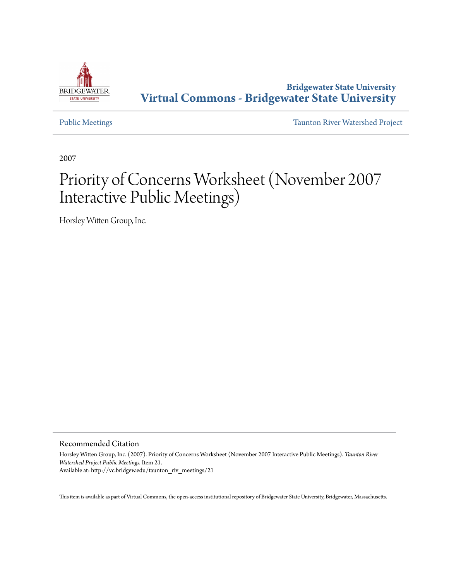

## **Bridgewater State University [Virtual Commons - Bridgewater State University](http://vc.bridgew.edu)**

[Public Meetings](http://vc.bridgew.edu/taunton_riv_meetings) [Taunton River Watershed Project](http://vc.bridgew.edu/taunton_riv)

2007

# Priority of Concerns Worksheet (November 2007 Interactive Public Meetings)

Horsley Witten Group, Inc.

### Recommended Citation

Horsley Witten Group, Inc. (2007). Priority of Concerns Worksheet (November 2007 Interactive Public Meetings). *Taunton River Watershed Project Public Meetings.* Item 21. Available at: http://vc.bridgew.edu/taunton\_riv\_meetings/21

This item is available as part of Virtual Commons, the open-access institutional repository of Bridgewater State University, Bridgewater, Massachusetts.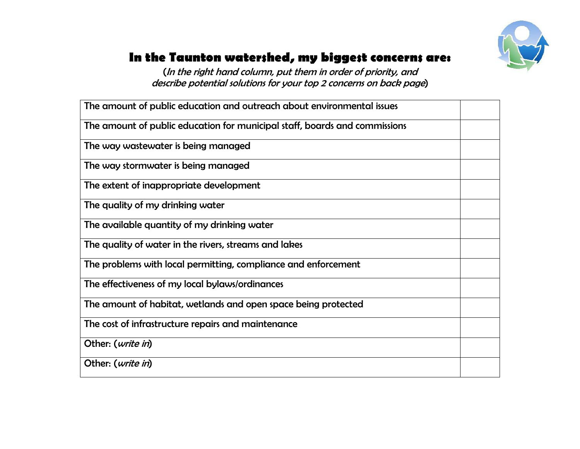

# **In the Taunton watershed, my biggest concerns are:**

(In the right hand column, put them in order of priority, and describe potential solutions for your top 2 concerns on back page)

| The amount of public education and outreach about environmental issues     |  |
|----------------------------------------------------------------------------|--|
| The amount of public education for municipal staff, boards and commissions |  |
| The way wastewater is being managed                                        |  |
| The way stormwater is being managed                                        |  |
| The extent of inappropriate development                                    |  |
| The quality of my drinking water                                           |  |
| The available quantity of my drinking water                                |  |
| The quality of water in the rivers, streams and lakes                      |  |
| The problems with local permitting, compliance and enforcement             |  |
| The effectiveness of my local bylaws/ordinances                            |  |
| The amount of habitat, wetlands and open space being protected             |  |
| The cost of infrastructure repairs and maintenance                         |  |
| Other: (write in)                                                          |  |
| Other: ( <i>write in</i> )                                                 |  |